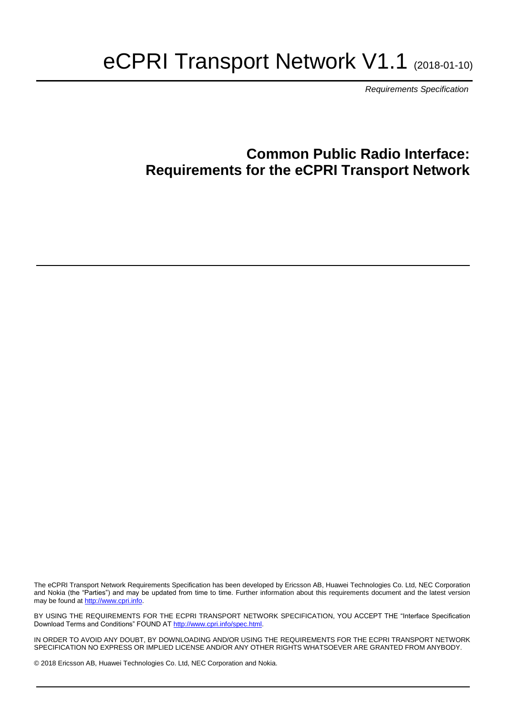# eCPRI Transport Network V1.1 (2018-01-10)

*Requirements Specification*

## **Common Public Radio Interface: Requirements for the eCPRI Transport Network**

The eCPRI Transport Network Requirements Specification has been developed by Ericsson AB, Huawei Technologies Co. Ltd, NEC Corporation and Nokia (the "Parties") and may be updated from time to time. Further information about this requirements document and the latest version may be found a[t http://www.cpri.info.](http://www.cpri.info/)

BY USING THE REQUIREMENTS FOR THE ECPRI TRANSPORT NETWORK SPECIFICATION, YOU ACCEPT THE "Interface Specification Download Terms and Conditions" FOUND AT [http://www.cpri.info/spec.html.](http://www.cpri.info/spec.html)

IN ORDER TO AVOID ANY DOUBT, BY DOWNLOADING AND/OR USING THE REQUIREMENTS FOR THE ECPRI TRANSPORT NETWORK SPECIFICATION NO EXPRESS OR IMPLIED LICENSE AND/OR ANY OTHER RIGHTS WHATSOEVER ARE GRANTED FROM ANYBODY. .

© 2018 Ericsson AB, Huawei Technologies Co. Ltd, NEC Corporation and Nokia.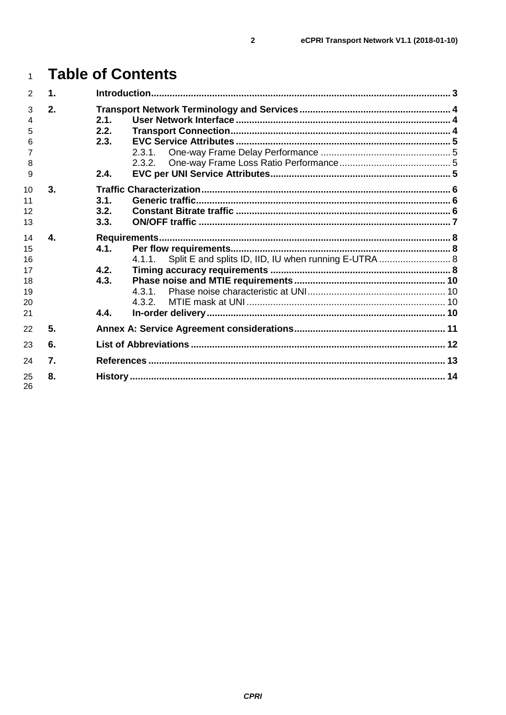| $\overline{2}$                               | 1.           |                                                 |  |  |
|----------------------------------------------|--------------|-------------------------------------------------|--|--|
| 3<br>4<br>5<br>6<br>8<br>9                   | 2.           | 2.1.<br>2.2.<br>2.3.<br>2.3.1<br>2.3.2.<br>2.4. |  |  |
| 10<br>11<br>12<br>13                         | 3.           | 3.1.<br>3.2.<br>3.3.                            |  |  |
| 14<br>15<br>16<br>17<br>18<br>19<br>20<br>21 | 4.           | 4.1.<br>4.1.1<br>4.2.<br>4.3.<br>432<br>4.4.    |  |  |
| 22                                           | 5.           |                                                 |  |  |
| 23                                           | 6.           |                                                 |  |  |
| 24                                           | $\mathbf{7}$ |                                                 |  |  |
| 25<br>26                                     | 8.           |                                                 |  |  |

#### **Table of Contents**  $\overline{1}$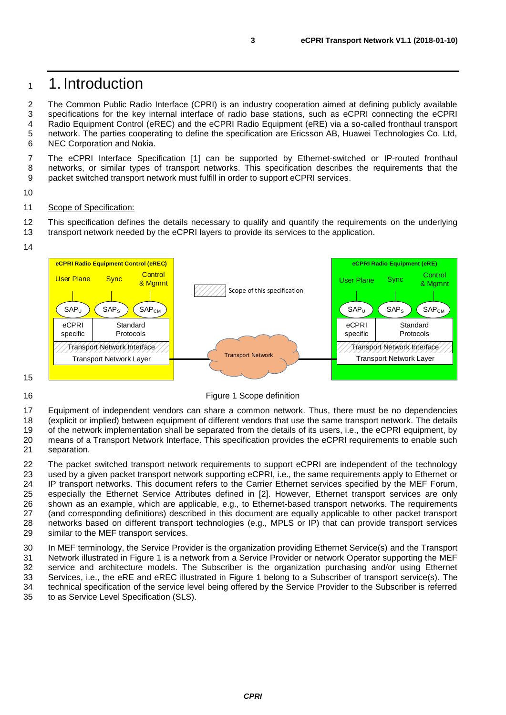### <span id="page-2-0"></span><sup>1</sup> 1. Introduction

2 The Common Public Radio Interface (CPRI) is an industry cooperation aimed at defining publicly available 3 specifications for the key internal interface of radio base stations, such as eCPRI connecting the eCPRI 4 Radio Equipment Control (eREC) and the eCPRI Radio Equipment (eRE) via a so-called fronthaul transport 5 network. The parties cooperating to define the specification are Ericsson AB, Huawei Technologies Co. Ltd, 6<br>6 NEC Corporation and Nokia. NEC Corporation and Nokia.

7 The eCPRI Interface Specification [\[1\]](#page-12-1) can be supported by Ethernet-switched or IP-routed fronthaul 8 networks, or similar types of transport networks. This specification describes the requirements that the 9 packet switched transport network must fulfill in order to support eCPRI services.

10

#### 11 Scope of Specification:

12 This specification defines the details necessary to qualify and quantify the requirements on the underlying 13 transport network needed by the eCPRI lavers to provide its services to the application. transport network needed by the eCPRI layers to provide its services to the application.

14



15

<span id="page-2-1"></span>

17 Equipment of independent vendors can share a common network. Thus, there must be no dependencies

18 (explicit or implied) between equipment of different vendors that use the same transport network. The details<br>19 of the network implementation shall be separated from the details of its users. i.e., the eCPRI equipment,

19 of the network implementation shall be separated from the details of its users, i.e., the eCPRI equipment, by 20 means of a Transport Network Interface. This specification provides the eCPRI requirements to enable such

21 separation.

 The packet switched transport network requirements to support eCPRI are independent of the technology used by a given packet transport network supporting eCPRI, i.e., the same requirements apply to Ethernet or 24 IP transport networks. This document refers to the Carrier Ethernet services specified by the MEF Forum,<br>25 especially the Ethernet Service Attributes defined in [2]. However, Ethernet transport services are only especially the Ethernet Service Attributes defined in [\[2\].](#page-12-2) However, Ethernet transport services are only shown as an example, which are applicable, e.g., to Ethernet-based transport networks. The requirements (and corresponding definitions) described in this document are equally applicable to other packet transport networks based on different transport technologies (e.g., MPLS or IP) that can provide transport services similar to the MEF transport services.

 In MEF terminology, the Service Provider is the organization providing Ethernet Service(s) and the Transport Network illustrated in [Figure 1](#page-2-1) is a network from a Service Provider or network Operator supporting the MEF service and architecture models. The Subscriber is the organization purchasing and/or using Ethernet Services, i.e., the eRE and eREC illustrated in [Figure 1](#page-2-1) belong to a Subscriber of transport service(s). The technical specification of the service level being offered by the Service Provider to the Subscriber is referred to as Service Level Specification (SLS).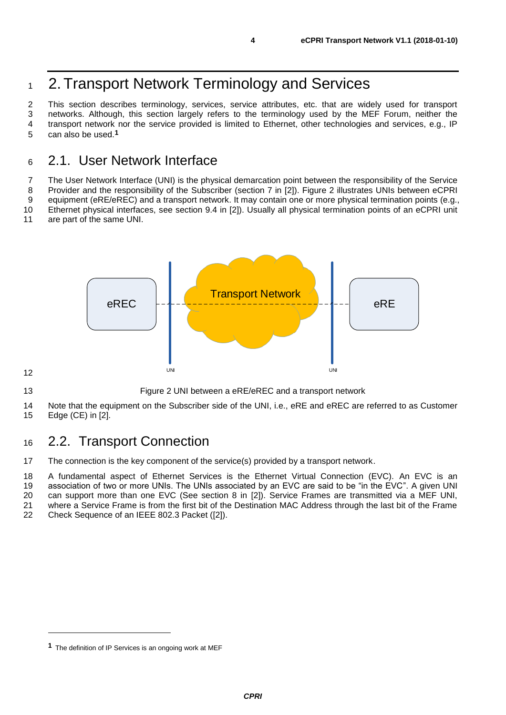# <span id="page-3-0"></span>1 2. Transport Network Terminology and Services

 This section describes terminology, services, service attributes, etc. that are widely used for transport networks. Although, this section largely refers to the terminology used by the MEF Forum, neither the transport network nor the service provided is limited to Ethernet, other technologies and services, e.g., IP can also be used.**1**

#### <span id="page-3-1"></span>2.1. User Network Interface

The User Network Interface (UNI) is the physical demarcation point between the responsibility of the Service

Provider and the responsibility of the Subscriber (section 7 in [\[2\]\)](#page-12-2). [Figure 2](#page-3-3) illustrates UNIs between eCPRI

 equipment (eRE/eREC) and a transport network. It may contain one or more physical termination points (e.g., Ethernet physical interfaces, see section 9.4 in [\[2\]\)](#page-12-2). Usually all physical termination points of an eCPRI unit

are part of the same UNI.



<span id="page-3-3"></span>Figure 2 UNI between a eRE/eREC and a transport network

 Note that the equipment on the Subscriber side of the UNI, i.e., eRE and eREC are referred to as Customer Edge (CE) in [\[2\].](#page-12-2)

#### <span id="page-3-2"></span>2.2. Transport Connection

The connection is the key component of the service(s) provided by a transport network.

 A fundamental aspect of Ethernet Services is the Ethernet Virtual Connection (EVC). An EVC is an association of two or more UNIs. The UNIs associated by an EVC are said to be "in the EVC". A given UNI

can support more than one EVC (See section 8 in [\[2\]\)](#page-12-2). Service Frames are transmitted via a MEF UNI,

21 where a Service Frame is from the first bit of the Destination MAC Address through the last bit of the Frame<br>22 Check Sequence of an IEEE 802.3 Packet ([2]).

Check Sequence of an IEEE 802.3 Packet [\(\[2\]\)](#page-12-2).

The definition of IP Services is an ongoing work at MEF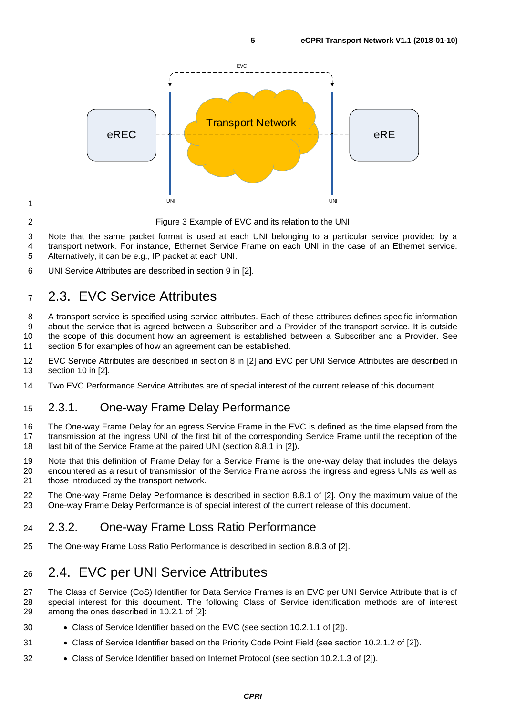

Figure 3 Example of EVC and its relation to the UNI

- Note that the same packet format is used at each UNI belonging to a particular service provided by a
- transport network. For instance, Ethernet Service Frame on each UNI in the case of an Ethernet service.
- Alternatively, it can be e.g., IP packet at each UNI.
- UNI Service Attributes are described in section 9 in [\[2\].](#page-12-2)

### <span id="page-4-0"></span>2.3. EVC Service Attributes

 A transport service is specified using service attributes. Each of these attributes defines specific information about the service that is agreed between a Subscriber and a Provider of the transport service. It is outside the scope of this document how an agreement is established between a Subscriber and a Provider. See section [5](#page-10-0) for examples of how an agreement can be established.

- EVC Service Attributes are described in section 8 in [\[2\]](#page-12-2) and EVC per UNI Service Attributes are described in section 10 in [\[2\].](#page-12-2)
- Two EVC Performance Service Attributes are of special interest of the current release of this document.

#### <span id="page-4-1"></span>2.3.1. One-way Frame Delay Performance

 The One-way Frame Delay for an egress Service Frame in the EVC is defined as the time elapsed from the transmission at the ingress UNI of the first bit of the corresponding Service Frame until the reception of the 18 last bit of the Service Frame at the paired UNI (section 8.8.1 in [\[2\]\)](#page-12-2).

- Note that this definition of Frame Delay for a Service Frame is the one-way delay that includes the delays encountered as a result of transmission of the Service Frame across the ingress and egress UNIs as well as those introduced by the transport network.
- The One-way Frame Delay Performance is described in section 8.8.1 of [\[2\].](#page-12-2) Only the maximum value of the One-way Frame Delay Performance is of special interest of the current release of this document.

#### <span id="page-4-2"></span>2.3.2. One-way Frame Loss Ratio Performance

The One-way Frame Loss Ratio Performance is described in section 8.8.3 of [\[2\].](#page-12-2)

### <span id="page-4-3"></span>2.4. EVC per UNI Service Attributes

 The Class of Service (CoS) Identifier for Data Service Frames is an EVC per UNI Service Attribute that is of special interest for this document. The following Class of Service identification methods are of interest among the ones described in 10.2.1 of [\[2\]:](#page-12-2)

- Class of Service Identifier based on the EVC (see section 10.2.1.1 of [\[2\]\)](#page-12-2).
- Class of Service Identifier based on the Priority Code Point Field (see section 10.2.1.2 of [\[2\]\)](#page-12-2).
- Class of Service Identifier based on Internet Protocol (see section 10.2.1.3 of [\[2\]\)](#page-12-2).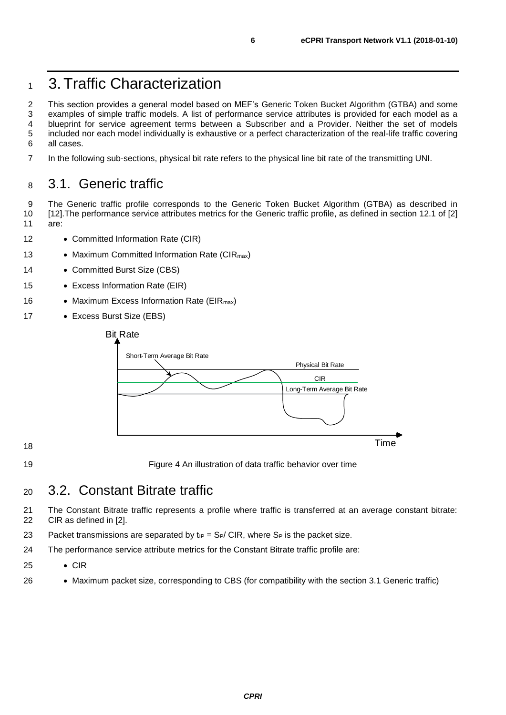# <span id="page-5-0"></span><sup>1</sup> 3.Traffic Characterization

2 This section provides a general model based on MEF's Generic Token Bucket Algorithm (GTBA) and some 3 examples of simple traffic models. A list of performance service attributes is provided for each model as a 4 blueprint for service agreement terms between a Subscriber and a Provider. Neither the set of models 5 included nor each model individually is exhaustive or a perfect characterization of the real-life traffic covering<br>6 all cases. all cases.

7 In the following sub-sections, physical bit rate refers to the physical line bit rate of the transmitting UNI.

#### <span id="page-5-1"></span><sup>8</sup> 3.1. Generic traffic

9 The Generic traffic profile corresponds to the Generic Token Bucket Algorithm (GTBA) as described in 10 [\[12\].T](#page-12-3)he performance service attributes metrics for the Generic traffic profile, as defined in section 12.1 of [\[2\]](#page-12-2) 11 are:

- 12 Committed Information Rate (CIR)
- 13 Maximum Committed Information Rate (CIR<sub>max</sub>)
- 14 Committed Burst Size (CBS)
- 15 Excess Information Rate (EIR)
- 16 Maximum Excess Information Rate (EIR<sub>max</sub>)
- 17 Excess Burst Size (EBS)



18

19 Figure 4 An illustration of data traffic behavior over time

#### <span id="page-5-2"></span><sup>20</sup> 3.2. Constant Bitrate traffic

21 The Constant Bitrate traffic represents a profile where traffic is transferred at an average constant bitrate: 22 CIR as defined in [\[2\].](#page-12-2)

- 23 Packet transmissions are separated by  $t_{IP} = S_P/CIR$ , where  $S_P$  is the packet size.
- 24 The performance service attribute metrics for the Constant Bitrate traffic profile are:
- 25 CIR
- 26 Maximum packet size, corresponding to CBS (for compatibility with the section 3.1 Generic traffic)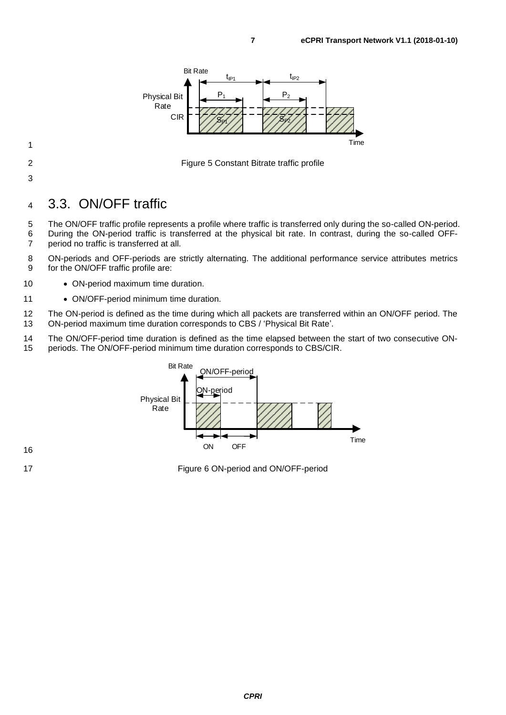

2 Figure 5 Constant Bitrate traffic profile

1

- 
- 3

#### <span id="page-6-0"></span><sup>4</sup> 3.3. ON/OFF traffic

5 The ON/OFF traffic profile represents a profile where traffic is transferred only during the so-called ON-period. 6 During the ON-period traffic is transferred at the physical bit rate. In contrast, during the so-called OFF-7 period no traffic is transferred at all.

8 ON-periods and OFF-periods are strictly alternating. The additional performance service attributes metrics 9 for the ON/OFF traffic profile are:

- 10 ON-period maximum time duration.
- 11 ON/OFF-period minimum time duration.

12 The ON-period is defined as the time during which all packets are transferred within an ON/OFF period. The 13 ON-period maximum time duration corresponds to CBS / 'Physical Bit Rate'.

14 The ON/OFF-period time duration is defined as the time elapsed between the start of two consecutive ON-<br>15 periods. The ON/OFF-period minimum time duration corresponds to CBS/CIR. periods. The ON/OFF-period minimum time duration corresponds to CBS/CIR.



16

17 Figure 6 ON-period and ON/OFF-period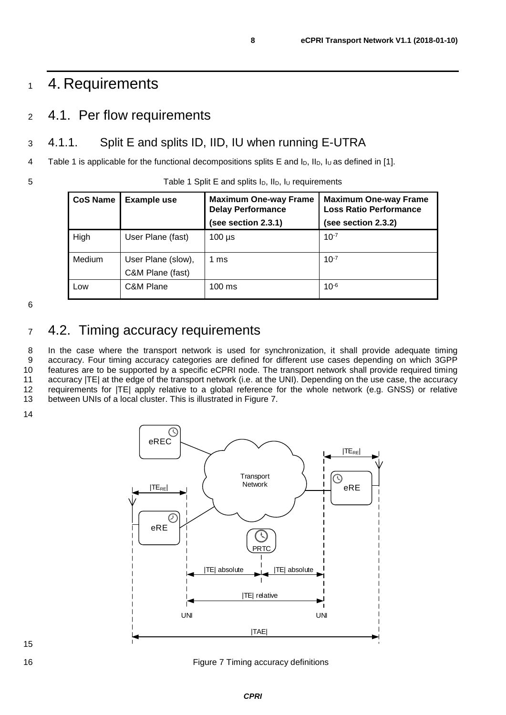## <span id="page-7-0"></span>1 4. Requirements

#### <span id="page-7-1"></span><sup>2</sup> 4.1. Per flow requirements

#### <span id="page-7-2"></span>3 4.1.1. Split E and splits ID, IID, IU when running E-UTRA

4 [Table 1](#page-7-4) is applicable for the functional decompositions splits E and  $I_D$ ,  $I_D$ ,  $I_U$  as defined in [\[1\].](#page-12-1)

<span id="page-7-4"></span>5 Table 1 Split E and splits I<sub>D</sub>, II<sub>D</sub>, I<sub>U</sub> requirements

| <b>CoS Name</b><br><b>Example use</b> |                                        | <b>Maximum One-way Frame</b><br><b>Delay Performance</b> | <b>Maximum One-way Frame</b><br><b>Loss Ratio Performance</b> |
|---------------------------------------|----------------------------------------|----------------------------------------------------------|---------------------------------------------------------------|
|                                       |                                        | (see section 2.3.1)                                      | (see section 2.3.2)                                           |
| High                                  | User Plane (fast)                      | $100 \mu s$                                              | $10^{-7}$                                                     |
| <b>Medium</b>                         | User Plane (slow),<br>C&M Plane (fast) | 1 ms                                                     | $10^{-7}$                                                     |
| Low                                   | C&M Plane                              | $100 \text{ ms}$                                         | $10^{-6}$                                                     |

6

### <span id="page-7-3"></span><sup>7</sup> 4.2. Timing accuracy requirements

8 In the case where the transport network is used for synchronization, it shall provide adequate timing<br>9 accuracy. Four timing accuracy categories are defined for different use cases depending on which 3GPP accuracy. Four timing accuracy categories are defined for different use cases depending on which 3GPP 10 features are to be supported by a specific eCPRI node. The transport network shall provide required timing 11 accuracy |TE| at the edge of the transport network (i.e. at the UNI). Depending on the use case, the accuracy<br>12 requirements for |TE| apply relative to a global reference for the whole network (e.g. GNSS) or relative requirements for  $|TE|$  apply relative to a global reference for the whole network (e.g. GNSS) or relative 13 between UNIs of a local cluster. This is illustrated in [Figure 7.](#page-7-5)

14



<span id="page-7-5"></span>16 **Figure 7 Timing accuracy definitions Figure 7** Timing accuracy definitions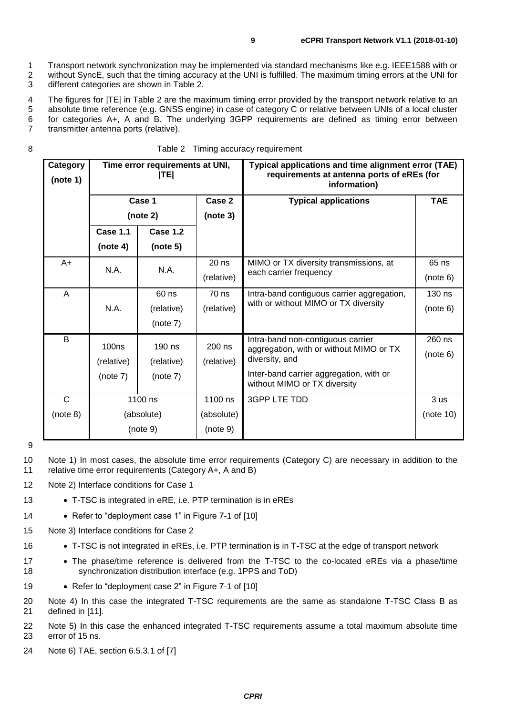1 Transport network synchronization may be implemented via standard mechanisms like e.g. IEEE1588 with or<br>2 without SyncE, such that the timing accuracy at the UNI is fulfilled. The maximum timing errors at the UNI for without SyncE, such that the timing accuracy at the UNI is fulfilled. The maximum timing errors at the UNI for 3 different categories are shown in [Table 2.](#page-8-0)

 The figures for |TE| in [Table 2](#page-8-0) are the maximum timing error provided by the transport network relative to an absolute time reference (e.g. GNSS engine) in case of category C or relative between UNIs of a local cluster for categories A+, A and B. The underlying 3GPP requirements are defined as timing error between transmitter antenna ports (relative).

<span id="page-8-0"></span>

|  | Table 2 Timing accuracy requirement |
|--|-------------------------------------|
|--|-------------------------------------|

| Category<br>(note 1) | Time error requirements at UNI,<br> TE |                 |            | Typical applications and time alignment error (TAE)<br>requirements at antenna ports of eREs (for<br>information) |                 |
|----------------------|----------------------------------------|-----------------|------------|-------------------------------------------------------------------------------------------------------------------|-----------------|
|                      | Case 1                                 |                 | Case 2     | <b>Typical applications</b>                                                                                       | <b>TAE</b>      |
|                      | (note 2)                               |                 | (note 3)   |                                                                                                                   |                 |
|                      | Case 1.1                               | <b>Case 1.2</b> |            |                                                                                                                   |                 |
|                      | (note 4)                               | (note 5)        |            |                                                                                                                   |                 |
| A+                   |                                        | N.A.            | $20$ ns    | MIMO or TX diversity transmissions, at                                                                            | 65 ns           |
|                      | N.A.                                   |                 | (relative) | each carrier frequency                                                                                            | (note 6)        |
| Α                    |                                        | 60 ns           | 70 ns      | Intra-band contiguous carrier aggregation,                                                                        | 130 ns          |
|                      | N.A.                                   | (relative)      | (relative) | with or without MIMO or TX diversity                                                                              | (note 6)        |
|                      |                                        | (note 7)        |            |                                                                                                                   |                 |
| B                    | <b>100ns</b>                           | $190$ ns        | $200$ ns   | Intra-band non-contiguous carrier<br>aggregation, with or without MIMO or TX<br>diversity, and                    | 260 ns          |
|                      | (relative)                             | (relative)      | (relative) |                                                                                                                   | (note 6)        |
|                      | (note 7)                               | (note 7)        |            | Inter-band carrier aggregation, with or                                                                           |                 |
|                      |                                        |                 |            | without MIMO or TX diversity                                                                                      |                 |
| C                    | 1100 ns                                |                 | 1100 ns    | 3GPP LTE TDD                                                                                                      | 3 <sub>us</sub> |
| (note 8)             | (absolute)                             |                 | (absolute) |                                                                                                                   | (note 10)       |
|                      | (note 9)                               |                 | (note 9)   |                                                                                                                   |                 |

9

10 Note 1) In most cases, the absolute time error requirements (Category C) are necessary in addition to the 11 relative time error requirements (Category A+, A and B)

12 Note 2) Interface conditions for Case 1

- 13 T-TSC is integrated in eRE, i.e. PTP termination is in eREs
- 14 Refer to "deployment case 1" in Figure 7-1 of [\[10\]](#page-12-4)
- 15 Note 3) Interface conditions for Case 2
- 16 T-TSC is not integrated in eREs, i.e. PTP termination is in T-TSC at the edge of transport network
- 17 The phase/time reference is delivered from the T-TSC to the co-located eREs via a phase/time 18 synchronization distribution interface (e.g. 1PPS and ToD)
- 19 Refer to "deployment case 2" in Figure 7-1 of [\[10\]](#page-12-4)
- 20 Note 4) In this case the integrated T-TSC requirements are the same as standalone T-TSC Class B as 21 defined in [\[11\].](#page-12-5)

22 Note 5) In this case the enhanced integrated T-TSC requirements assume a total maximum absolute time 23 error of 15 ns.

24 Note 6) TAE, section 6.5.3.1 of [\[7\]](#page-12-6)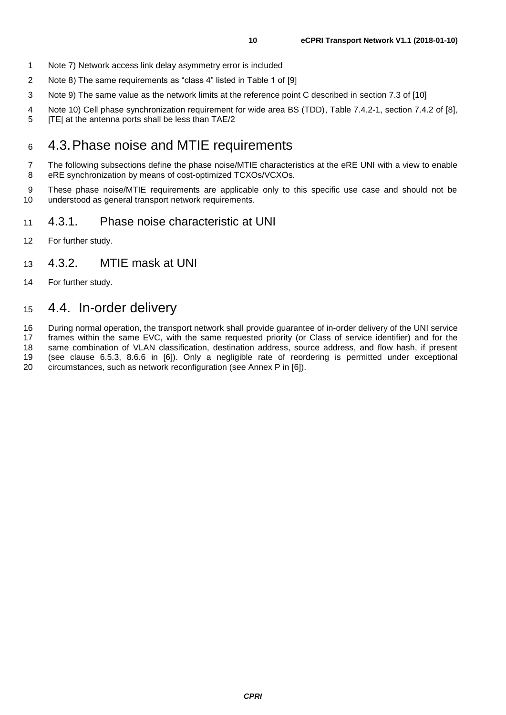- Note 7) Network access link delay asymmetry error is included
- Note 8) The same requirements as "class 4" listed in Table 1 of [\[9\]](#page-12-7)
- Note 9) The same value as the network limits at the reference point C described in section 7.3 of [\[10\]](#page-12-4)
- 4 Note 10) Cell phase synchronization requirement for wide area BS (TDD), Table 7.4.2-1, section 7.4.2 of [\[8\],](#page-12-8) <br>5 ITEI at the antenna ports shall be less than TAE/2
- |TE| at the antenna ports shall be less than TAE/2

#### <span id="page-9-0"></span>4.3.Phase noise and MTIE requirements

 The following subsections define the phase noise/MTIE characteristics at the eRE UNI with a view to enable eRE synchronization by means of cost-optimized TCXOs/VCXOs.

9 These phase noise/MTIE requirements are applicable only to this specific use case and should not be 10 understood as general transport network requirements. understood as general transport network requirements.

#### <span id="page-9-1"></span>4.3.1. Phase noise characteristic at UNI

For further study.

#### <span id="page-9-2"></span>4.3.2. MTIE mask at UNI

For further study.

#### <span id="page-9-3"></span>4.4. In-order delivery

 During normal operation, the transport network shall provide guarantee of in-order delivery of the UNI service frames within the same EVC, with the same requested priority (or Class of service identifier) and for the

same combination of VLAN classification, destination address, source address, and flow hash, if present

(see clause 6.5.3, 8.6.6 in [\[6\]\)](#page-12-9). Only a negligible rate of reordering is permitted under exceptional

circumstances, such as network reconfiguration (see Annex P in [\[6\]\)](#page-12-9).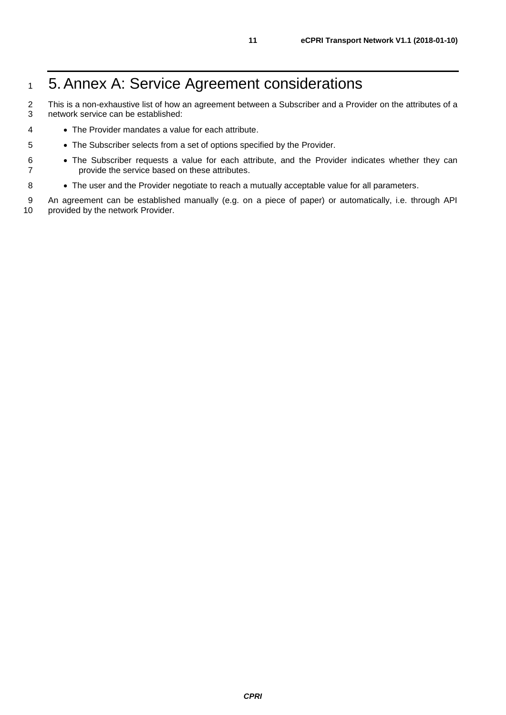# <span id="page-10-0"></span>1 5. Annex A: Service Agreement considerations

2 This is a non-exhaustive list of how an agreement between a Subscriber and a Provider on the attributes of a 3 network service can be established:

- 4 The Provider mandates a value for each attribute.
- 5 The Subscriber selects from a set of options specified by the Provider.
- 6 The Subscriber requests a value for each attribute, and the Provider indicates whether they can 7 provide the service based on these attributes.
- 8 The user and the Provider negotiate to reach a mutually acceptable value for all parameters.

9 An agreement can be established manually (e.g. on a piece of paper) or automatically, i.e. through API<br>10 provided by the network Provider. provided by the network Provider.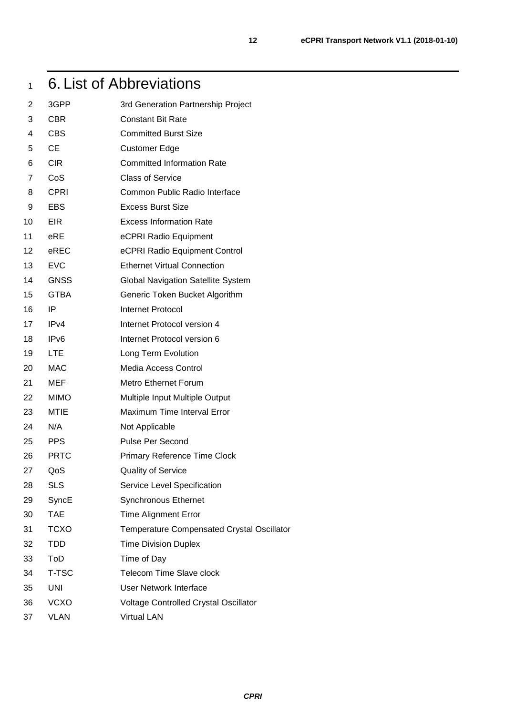# <span id="page-11-0"></span>6. List of Abbreviations

| 2               | 3GPP             | 3rd Generation Partnership Project         |
|-----------------|------------------|--------------------------------------------|
| 3               | <b>CBR</b>       | <b>Constant Bit Rate</b>                   |
| 4               | <b>CBS</b>       | <b>Committed Burst Size</b>                |
| 5               | <b>CE</b>        | <b>Customer Edge</b>                       |
| 6               | <b>CIR</b>       | <b>Committed Information Rate</b>          |
| 7               | CoS              | <b>Class of Service</b>                    |
| 8               | <b>CPRI</b>      | Common Public Radio Interface              |
| 9               | <b>EBS</b>       | <b>Excess Burst Size</b>                   |
| 10              | <b>EIR</b>       | <b>Excess Information Rate</b>             |
| 11              | eRE              | eCPRI Radio Equipment                      |
| 12 <sub>2</sub> | eREC             | eCPRI Radio Equipment Control              |
| 13              | <b>EVC</b>       | <b>Ethernet Virtual Connection</b>         |
| 14              | <b>GNSS</b>      | <b>Global Navigation Satellite System</b>  |
| 15              | <b>GTBA</b>      | Generic Token Bucket Algorithm             |
| 16              | IP               | <b>Internet Protocol</b>                   |
| 17              | IPv4             | Internet Protocol version 4                |
| 18              | IP <sub>v6</sub> | Internet Protocol version 6                |
| 19              | <b>LTE</b>       | Long Term Evolution                        |
| 20              | <b>MAC</b>       | Media Access Control                       |
| 21              | <b>MEF</b>       | <b>Metro Ethernet Forum</b>                |
| 22              | <b>MIMO</b>      | Multiple Input Multiple Output             |
| 23              | <b>MTIE</b>      | Maximum Time Interval Error                |
| 24              | N/A              | Not Applicable                             |
| 25              | <b>PPS</b>       | <b>Pulse Per Second</b>                    |
| 26              | <b>PRTC</b>      | <b>Primary Reference Time Clock</b>        |
| 27              | QoS              | <b>Quality of Service</b>                  |
| 28              | <b>SLS</b>       | Service Level Specification                |
| 29              | SyncE            | <b>Synchronous Ethernet</b>                |
| 30              | <b>TAE</b>       | <b>Time Alignment Error</b>                |
| 31              | <b>TCXO</b>      | Temperature Compensated Crystal Oscillator |
| 32              | <b>TDD</b>       | <b>Time Division Duplex</b>                |
| 33              | ToD              | Time of Day                                |
| 34              | T-TSC            | Telecom Time Slave clock                   |
| 35              | <b>UNI</b>       | <b>User Network Interface</b>              |
| 36              | <b>VCXO</b>      | Voltage Controlled Crystal Oscillator      |
| 37              | <b>VLAN</b>      | <b>Virtual LAN</b>                         |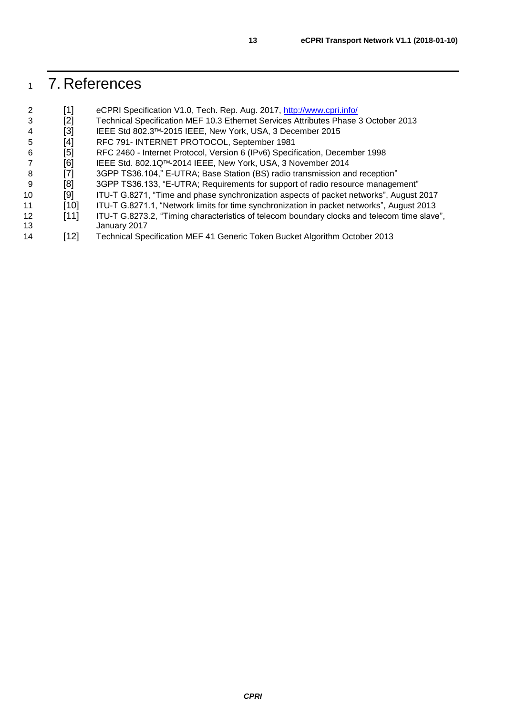# <span id="page-12-0"></span>7. References

<span id="page-12-9"></span><span id="page-12-8"></span><span id="page-12-7"></span><span id="page-12-6"></span><span id="page-12-5"></span><span id="page-12-4"></span><span id="page-12-3"></span><span id="page-12-2"></span><span id="page-12-1"></span>

| [1]    | eCPRI Specification V1.0, Tech. Rep. Aug. 2017, http://www.cpri.info/                       |
|--------|---------------------------------------------------------------------------------------------|
| [2]    | Technical Specification MEF 10.3 Ethernet Services Attributes Phase 3 October 2013          |
| [3]    | IEEE Std 802.3™-2015 IEEE, New York, USA, 3 December 2015                                   |
| [4]    | RFC 791- INTERNET PROTOCOL, September 1981                                                  |
| [5]    | RFC 2460 - Internet Protocol, Version 6 (IPv6) Specification, December 1998                 |
| [6]    | IEEE Std. 802.1Q™-2014 IEEE, New York, USA, 3 November 2014                                 |
| [7]    | 3GPP TS36.104," E-UTRA; Base Station (BS) radio transmission and reception"                 |
| [8]    | 3GPP TS36.133, "E-UTRA; Requirements for support of radio resource management"              |
| [9]    | ITU-T G.8271, "Time and phase synchronization aspects of packet networks", August 2017      |
| $[10]$ | ITU-T G.8271.1, "Network limits for time synchronization in packet networks", August 2013   |
| $[11]$ | ITU-T G.8273.2, "Timing characteristics of telecom boundary clocks and telecom time slave", |
|        | January 2017                                                                                |
| $[12]$ | Technical Specification MEF 41 Generic Token Bucket Algorithm October 2013                  |
|        |                                                                                             |